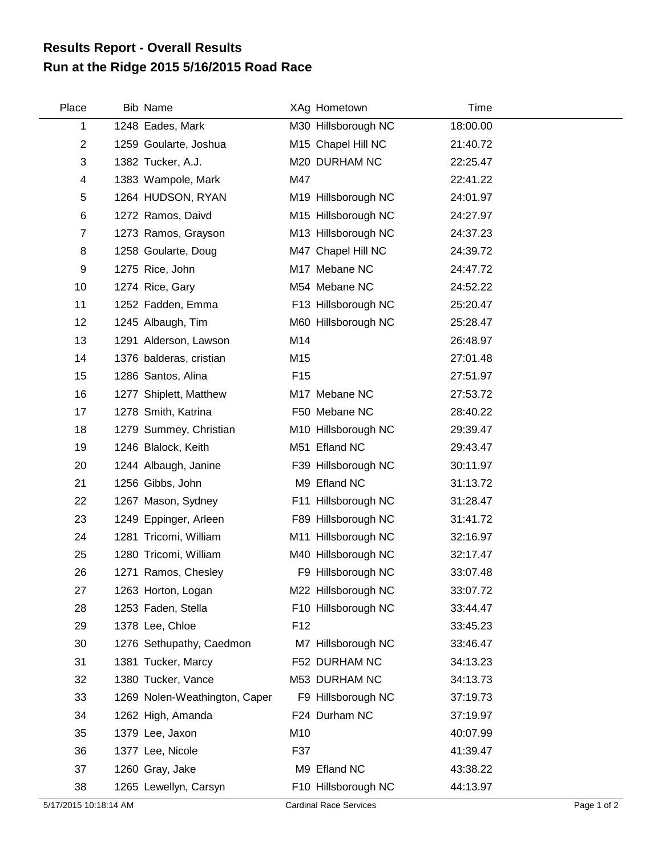## **Run at the Ridge 2015 5/16/2015 Road Race Results Report - Overall Results**

| Place          | Bib Name                      |                 | XAg Hometown        | Time     |
|----------------|-------------------------------|-----------------|---------------------|----------|
| 1              | 1248 Eades, Mark              |                 | M30 Hillsborough NC | 18:00.00 |
| $\overline{2}$ | 1259 Goularte, Joshua         |                 | M15 Chapel Hill NC  | 21:40.72 |
| 3              | 1382 Tucker, A.J.             |                 | M20 DURHAM NC       | 22:25.47 |
| 4              | 1383 Wampole, Mark            | M47             |                     | 22:41.22 |
| 5              | 1264 HUDSON, RYAN             |                 | M19 Hillsborough NC | 24:01.97 |
| 6              | 1272 Ramos, Daivd             |                 | M15 Hillsborough NC | 24:27.97 |
| $\overline{7}$ | 1273 Ramos, Grayson           |                 | M13 Hillsborough NC | 24:37.23 |
| 8              | 1258 Goularte, Doug           |                 | M47 Chapel Hill NC  | 24:39.72 |
| 9              | 1275 Rice, John               |                 | M17 Mebane NC       | 24:47.72 |
| 10             | 1274 Rice, Gary               |                 | M54 Mebane NC       | 24:52.22 |
| 11             | 1252 Fadden, Emma             |                 | F13 Hillsborough NC | 25:20.47 |
| 12             | 1245 Albaugh, Tim             |                 | M60 Hillsborough NC | 25:28.47 |
| 13             | 1291 Alderson, Lawson         | M14             |                     | 26:48.97 |
| 14             | 1376 balderas, cristian       | M15             |                     | 27:01.48 |
| 15             | 1286 Santos, Alina            | F <sub>15</sub> |                     | 27:51.97 |
| 16             | 1277 Shiplett, Matthew        |                 | M17 Mebane NC       | 27:53.72 |
| 17             | 1278 Smith, Katrina           |                 | F50 Mebane NC       | 28:40.22 |
| 18             | 1279 Summey, Christian        |                 | M10 Hillsborough NC | 29:39.47 |
| 19             | 1246 Blalock, Keith           |                 | M51 Efland NC       | 29:43.47 |
| 20             | 1244 Albaugh, Janine          |                 | F39 Hillsborough NC | 30:11.97 |
| 21             | 1256 Gibbs, John              |                 | M9 Efland NC        | 31:13.72 |
| 22             | 1267 Mason, Sydney            |                 | F11 Hillsborough NC | 31:28.47 |
| 23             | 1249 Eppinger, Arleen         |                 | F89 Hillsborough NC | 31:41.72 |
| 24             | 1281 Tricomi, William         |                 | M11 Hillsborough NC | 32:16.97 |
| 25             | 1280 Tricomi, William         |                 | M40 Hillsborough NC | 32:17.47 |
| 26             | 1271 Ramos, Chesley           |                 | F9 Hillsborough NC  | 33:07.48 |
| 27             | 1263 Horton, Logan            |                 | M22 Hillsborough NC | 33:07.72 |
| 28             | 1253 Faden, Stella            |                 | F10 Hillsborough NC | 33:44.47 |
| 29             | 1378 Lee, Chloe               | F <sub>12</sub> |                     | 33:45.23 |
| 30             | 1276 Sethupathy, Caedmon      |                 | M7 Hillsborough NC  | 33:46.47 |
| 31             | 1381 Tucker, Marcy            |                 | F52 DURHAM NC       | 34:13.23 |
| 32             | 1380 Tucker, Vance            |                 | M53 DURHAM NC       | 34:13.73 |
| 33             | 1269 Nolen-Weathington, Caper |                 | F9 Hillsborough NC  | 37:19.73 |
| 34             | 1262 High, Amanda             |                 | F24 Durham NC       | 37:19.97 |
| 35             | 1379 Lee, Jaxon               | M10             |                     | 40:07.99 |
| 36             | 1377 Lee, Nicole              | F37             |                     | 41:39.47 |
| 37             | 1260 Gray, Jake               |                 | M9 Efland NC        | 43:38.22 |
| 38             | 1265 Lewellyn, Carsyn         |                 | F10 Hillsborough NC | 44:13.97 |